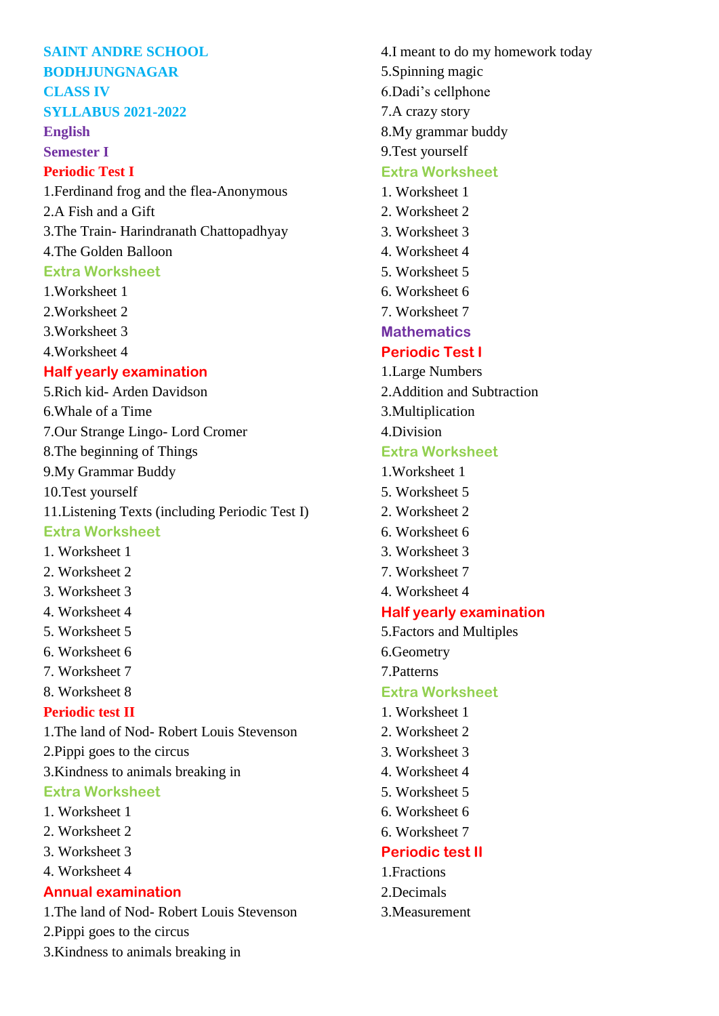#### **SAINT ANDRE SCHOOL BODHJUNGNAGAR**

# **CLASS IV**

## **SYLLABUS 2021-2022**

**English** 

### **Semester I**

## **Periodic Test I**

1.Ferdinand frog and the flea-Anonymous 2.A Fish and a Gift 3.The Train- Harindranath Chattopadhyay

## 4.The Golden Balloon

## **Extra Worksheet**

- 1.Worksheet 1
- 2.Worksheet 2
- 3.Worksheet 3
- 4.Worksheet 4

## **Half yearly examination**

- 5.Rich kid- Arden Davidson 6.Whale of a Time 7.Our Strange Lingo- Lord Cromer 8.The beginning of Things 9.My Grammar Buddy 10.Test yourself
- 11.Listening Texts (including Periodic Test I)

## **Extra Worksheet**

- 1. Worksheet 1
- 2. Worksheet 2
- 3. Worksheet 3
- 4. Worksheet 4
- 5. Worksheet 5
- 6. Worksheet 6
- 7. Worksheet 7
- 8. Worksheet 8

## **Periodic test II**

- 1.The land of Nod- Robert Louis Stevenson
- 2.Pippi goes to the circus
- 3.Kindness to animals breaking in

## **Extra Worksheet**

- 1. Worksheet 1
- 2. Worksheet 2
- 3. Worksheet 3
- 4. Worksheet 4

## **Annual examination**

- 1.The land of Nod- Robert Louis Stevenson
- 2.Pippi goes to the circus
- 3.Kindness to animals breaking in
- 4.I meant to do my homework today 5.Spinning magic 6.Dadi's cellphone 7.A crazy story 8.My grammar buddy 9.Test yourself **Extra Worksheet** 1. Worksheet 1 2. Worksheet 2 3. Worksheet 3 4. Worksheet 4 5. Worksheet 5 6. Worksheet 6 7. Worksheet 7 **Mathematics Periodic Test I** 1.Large Numbers 2.Addition and Subtraction 3.Multiplication 4.Division **Extra Worksheet** 1.Worksheet 1 5. Worksheet 5 2. Worksheet 2 6. Worksheet 6 3. Worksheet 3 7. Worksheet 7 4. Worksheet 4 **Half yearly examination** 5.Factors and Multiples 6.Geometry 7.Patterns **Extra Worksheet** 1. Worksheet 1 2. Worksheet 2 3. Worksheet 3 4. Worksheet 4 5. Worksheet 5 6. Worksheet 6 6. Worksheet 7
- **Periodic test II**
- 1.Fractions
- 2.Decimals
- 3.Measurement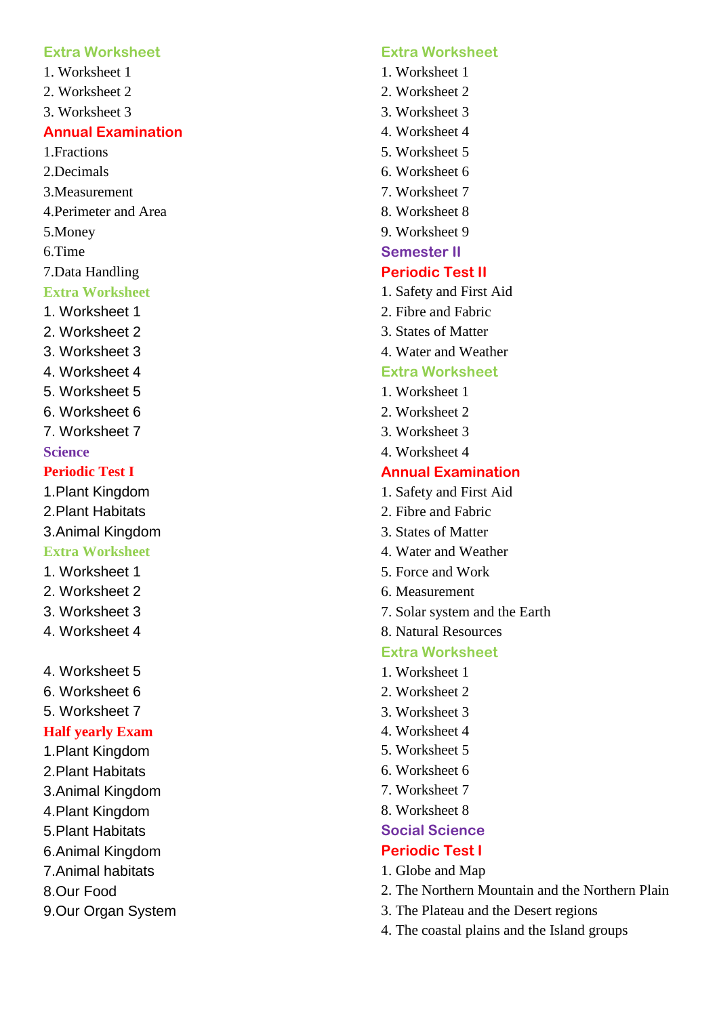#### **Extra Worksheet**

- 1. Worksheet 1
- 2. Worksheet 2
- 3. Worksheet 3

### **Annual Examination**

1.Fractions

- 2.Decimals
- 3.Measurement
- 4.Perimeter and Area
- 5.Money
- 6.Time
- 7.Data Handling
- **Extra Worksheet**
- 1. Worksheet 1
- 2. Worksheet 2
- 3. Worksheet 3
- 4. Worksheet 4
- 5. Worksheet 5
- 6. Worksheet 6
- 7. Worksheet 7

#### **Science**

### **Periodic Test I**

- 1.Plant Kingdom
- 2.Plant Habitats
- 3.Animal Kingdom

### **Extra Worksheet**

- 1. Worksheet 1
- 2. Worksheet 2
- 3. Worksheet 3
- 4. Worksheet 4
- 4. Worksheet 5
- 6. Worksheet 6
- 5. Worksheet 7

#### **Half yearly Exam**

- 1.Plant Kingdom
- 2.Plant Habitats
- 3.Animal Kingdom
- 4.Plant Kingdom
- 5.Plant Habitats
- 6.Animal Kingdom
- 7.Animal habitats
- 8.Our Food
- 9.Our Organ System

#### **Extra Worksheet**

- 1. Worksheet 1
- 2. Worksheet 2
- 3. Worksheet 3
- 4. Worksheet 4
- 5. Worksheet 5
- 6. Worksheet 6
- 7. Worksheet 7
- 8. Worksheet 8
- 9. Worksheet 9
- **Semester II**

#### **Periodic Test II**

- 1. Safety and First Aid
- 2. Fibre and Fabric
- 3. States of Matter
- 4. Water and Weather

#### **Extra Worksheet**

- 1. Worksheet 1
- 2. Worksheet 2
- 3. Worksheet 3
- 4. Worksheet 4

### **Annual Examination**

- 1. Safety and First Aid
- 2. Fibre and Fabric
- 3. States of Matter
- 4. Water and Weather
- 5. Force and Work
- 6. Measurement
- 7. Solar system and the Earth
- 8. Natural Resources

## **Extra Worksheet**

- 1. Worksheet 1
- 2. Worksheet 2
- 3. Worksheet 3
- 4. Worksheet 4
- 5. Worksheet 5
- 6. Worksheet 6
- 7. Worksheet 7
- 8. Worksheet 8

#### **Social Science**

#### **Periodic Test I**

- 1. Globe and Map
- 2. The Northern Mountain and the Northern Plain
- 3. The Plateau and the Desert regions
- 4. The coastal plains and the Island groups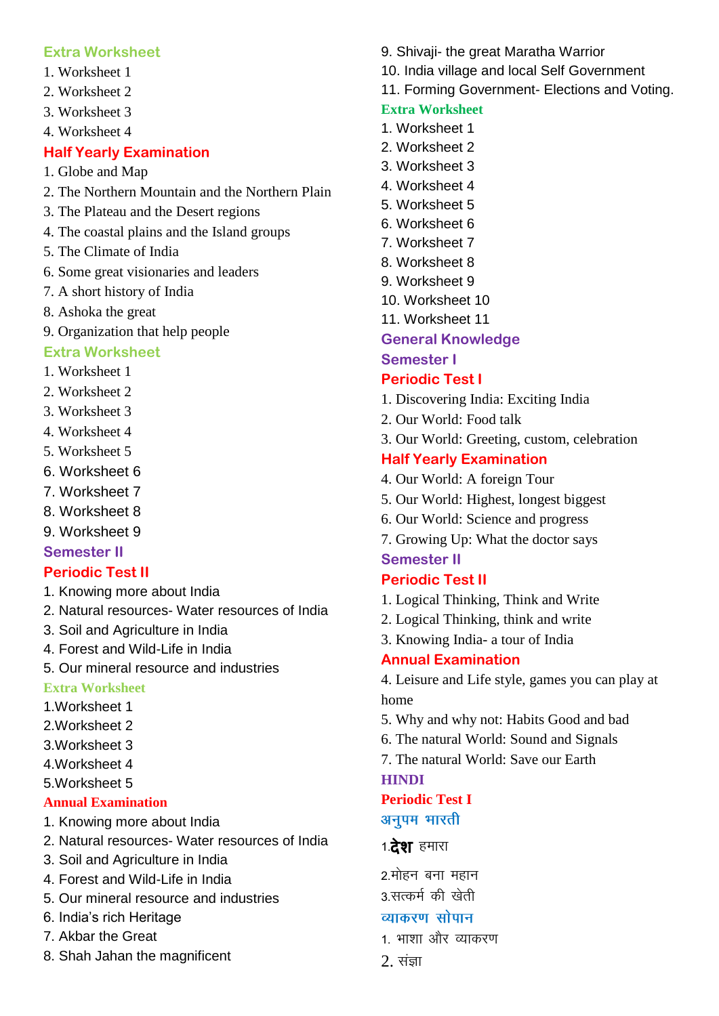## **Extra Worksheet**

- 1. Worksheet 1
- 2. Worksheet 2
- 3. Worksheet 3
- 4. Worksheet 4

## **Half Yearly Examination**

- 1. Globe and Map
- 2. The Northern Mountain and the Northern Plain
- 3. The Plateau and the Desert regions
- 4. The coastal plains and the Island groups
- 5. The Climate of India
- 6. Some great visionaries and leaders
- 7. A short history of India
- 8. Ashoka the great
- 9. Organization that help people

## **Extra Worksheet**

- 1. Worksheet 1
- 2. Worksheet 2
- 3. Worksheet 3
- 4. Worksheet 4
- 5. Worksheet 5
- 6. Worksheet 6
- 7. Worksheet 7
- 8. Worksheet 8
- 9. Worksheet 9

## **Semester II**

## **Periodic Test II**

- 1. Knowing more about India
- 2. Natural resources- Water resources of India
- 3. Soil and Agriculture in India
- 4. Forest and Wild-Life in India
- 5. Our mineral resource and industries

## **Extra Worksheet**

- 1.Worksheet 1
- 2.Worksheet 2
- 3.Worksheet 3
- 4.Worksheet 4
- 5.Worksheet 5

## **Annual Examination**

- 1. Knowing more about India
- 2. Natural resources- Water resources of India
- 3. Soil and Agriculture in India
- 4. Forest and Wild-Life in India
- 5. Our mineral resource and industries
- 6. India's rich Heritage
- 7. Akbar the Great
- 8. Shah Jahan the magnificent
- 9. Shivaji- the great Maratha Warrior
- 10. India village and local Self Government
- 11. Forming Government- Elections and Voting.

## **Extra Worksheet**

- 1. Worksheet 1
- 2. Worksheet 2
- 3. Worksheet 3
- 4. Worksheet 4
- 5. Worksheet 5
- 6. Worksheet 6
- 7. Worksheet 7
- 8. Worksheet 8
- 9. Worksheet 9
- 10. Worksheet 10
- 11. Worksheet 11

## **General Knowledge**

## **Semester I**

## **Periodic Test I**

- 1. Discovering India: Exciting India
- 2. Our World: Food talk
- 3. Our World: Greeting, custom, celebration

## **Half Yearly Examination**

- 4. Our World: A foreign Tour
- 5. Our World: Highest, longest biggest
- 6. Our World: Science and progress
- 7. Growing Up: What the doctor says **Semester II**

## **Periodic Test II**

- 1. Logical Thinking, Think and Write
- 2. Logical Thinking, think and write
- 3. Knowing India- a tour of India

## **Annual Examination**

4. Leisure and Life style, games you can play at home

- 5. Why and why not: Habits Good and bad
- 6. The natural World: Sound and Signals
- 7. The natural World: Save our Earth

## **HINDI**

### **Periodic Test I** अनुपम भारती

## 1.**देश** हमारा

2.मोहन बना महान 3 सत्कर्म की खेती

## व्याकरण सोपान

- 1- भाशा और व्याकरण
- $2.$  संज्ञा